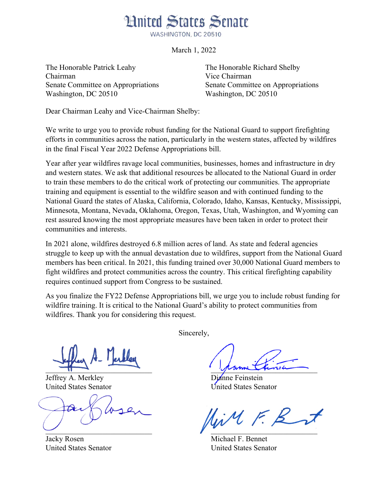## **Hnited States Senate**

WASHINGTON, DC 20510

March 1, 2022

The Honorable Patrick Leahy The Honorable Richard Shelby Chairman Vice Chairman Senate Committee on Appropriations Senate Committee on Appropriations Washington, DC 20510 Washington, DC 20510

Dear Chairman Leahy and Vice-Chairman Shelby:

We write to urge you to provide robust funding for the National Guard to support firefighting efforts in communities across the nation, particularly in the western states, affected by wildfires in the final Fiscal Year 2022 Defense Appropriations bill.

Year after year wildfires ravage local communities, businesses, homes and infrastructure in dry and western states. We ask that additional resources be allocated to the National Guard in order to train these members to do the critical work of protecting our communities. The appropriate training and equipment is essential to the wildfire season and with continued funding to the National Guard the states of Alaska, California, Colorado, Idaho, Kansas, Kentucky, Mississippi, Minnesota, Montana, Nevada, Oklahoma, Oregon, Texas, Utah, Washington, and Wyoming can rest assured knowing the most appropriate measures have been taken in order to protect their communities and interests.

In 2021 alone, wildfires destroyed 6.8 million acres of land. As state and federal agencies struggle to keep up with the annual devastation due to wildfires, support from the National Guard members has been critical. In 2021, this funding trained over 30,000 National Guard members to fight wildfires and protect communities across the country. This critical firefighting capability requires continued support from Congress to be sustained.

As you finalize the FY22 Defense Appropriations bill, we urge you to include robust funding for wildfire training. It is critical to the National Guard's ability to protect communities from wildfires. Thank you for considering this request.

Jeffrey A. Merkley Dianne Feinstein

Sincerely,

 $\frac{1}{2}$ 

United States Senator United States Senator

live F. B  $\mathcal{L}$  , and the contract of  $\mathcal{L}$  , and the contract of  $\mathcal{L}$ 

Jacky Rosen Michael F. Bennet United States Senator United States Senator